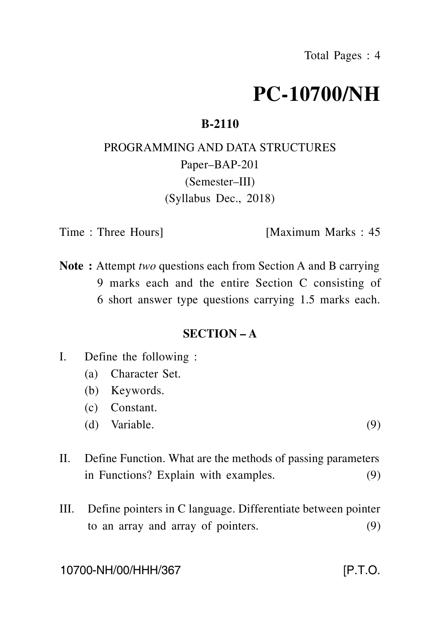# **PC-10700/NH**

### **B-2110**

## PROGRAMMING AND DATA STRUCTURES Paper–BAP-201 (Semester–III) (Syllabus Dec., 2018)

Time : Three Hours [Maximum Marks : 45]

**Note :** Attempt *two* questions each from Section A and B carrying 9 marks each and the entire Section C consisting of 6 short answer type questions carrying 1.5 marks each.

#### **SECTION – A**

- I. Define the following :
	- (a) Character Set.
	- (b) Keywords.
	- (c) Constant.
	- (d) Variable.  $(9)$
- II. Define Function. What are the methods of passing parameters in Functions? Explain with examples. (9)
- III. Define pointers in C language. Differentiate between pointer to an array and array of pointers. (9)

10700-NH/00/HHH/367 [P.T.O.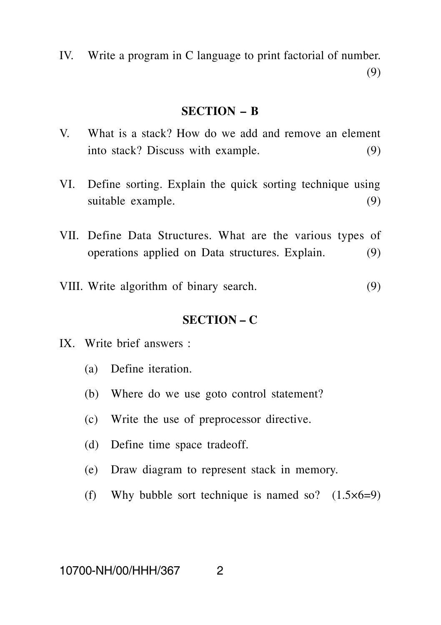IV. Write a program in C language to print factorial of number. (9)

#### **SECTION – B**

- V. What is a stack? How do we add and remove an element into stack? Discuss with example. (9)
- VI. Define sorting. Explain the quick sorting technique using suitable example. (9)
- VII. Define Data Structures. What are the various types of operations applied on Data structures. Explain. (9)
- VIII. Write algorithm of binary search. (9)

#### **SECTION – C**

- IX. Write brief answers :
	- (a) Define iteration.
	- (b) Where do we use goto control statement?
	- (c) Write the use of preprocessor directive.
	- (d) Define time space tradeoff.
	- (e) Draw diagram to represent stack in memory.
	- (f) Why bubble sort technique is named so?  $(1.5 \times 6=9)$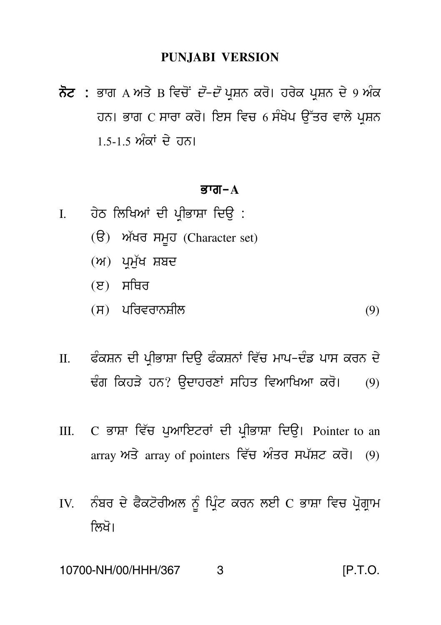#### **PUNJABI VERSION**

ਨੋਟ : ਭਾਗ A ਅਤੇ B ਵਿਚੋਂ *ਦੋ–ਦੋ* ਪਸ਼ਨ ਕਰੋ। ਹਰੇਕ ਪਸ਼ਨ ਦੇ 9 ਅੰਕ ਹਨ। ਭਾਗ C ਸਾਰਾ ਕਰੋ। ਇਸ ਵਿਚ 6 ਸੰਖੇਪ ਉੱਤਰ ਵਾਲੇ ਪਸ਼ਨ 1.5-1.5 ਅੰਕਾਂ ਦੇ ਹਨ।

#### ਕੁਾਗ $-A$

- ਹੇਠ ਲਿਖਿਆਂ ਦੀ ਪੀਭਾਸ਼ਾ ਦਿੳ :  $\mathbf{L}$ 
	- (ੳ) ਅੱਖਰ ਸਮਹ (Character set)
	- $(M)$  ਪ੍ਰਮੁੱਖ ਸ਼ਬਦ
	- $(E)$  ਸਥਿਰ
	- $(H)$  ਪਰਿਵਰਾਨਸ਼ੀਲ  $(9)$
- ਫੰਕਸ਼ਨ ਦੀ ਪੀਭਾਸ਼ਾ ਦਿੳ ਫੰਕਸ਼ਨਾਂ ਵਿੱਚ ਮਾਪ-ਦੰਡ ਪਾਸ ਕਰਨ ਦੇ  $\Pi$ . ਢੰਗ ਕਿਹੜੇ ਹਨ? ਉਦਾਹਰਣਾਂ ਸਹਿਤ ਵਿਆਖਿਆ ਕਰੋ।  $(9)$
- C ਭਾਸ਼ਾ ਵਿੱਚ ਪਆਇਟਰਾਂ ਦੀ ਪੀਭਾਸ਼ਾ ਦਿੳ। Pointer to an  $III.$ array ਅਤੇ array of pointers ਵਿੱਚ ਅੰਤਰ ਸਪੱਸ਼ਟ ਕਰੋ। (9)
- ਨੰਬਰ ਦੇ ਫੈਕਟੋਰੀਅਲ ਨੰ ਪਿੰਟ ਕਰਨ ਲਈ C ਭਾਸ਼ਾ ਵਿਚ ਪੋਗਾਮ IV. ਲਿਖੋ।

#### $[P.T.O.$ 10700-NH/00/HHH/367 3